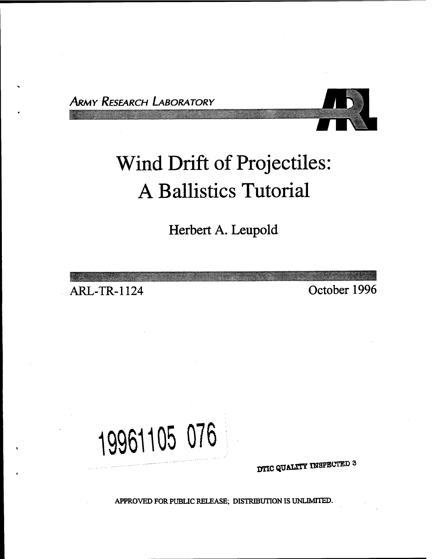*ARMY RESEARCH LABORATORY*



# Wind Drift of Projectiles: A Ballistics Tutorial

*&yxtt->yvccwy\*w>o^.\$ccK<sup>i</sup>*

*yy>'.w%w%)<!W*

**Herbert A. Leupold**

**ARL-TR-1124 October 1996**

**19961105 076**

**DTIC QUALITY INSPECTED 3** 

APPROVED FOR PUBLIC RELEASE; DISTRIBUTION IS UNLIMITED.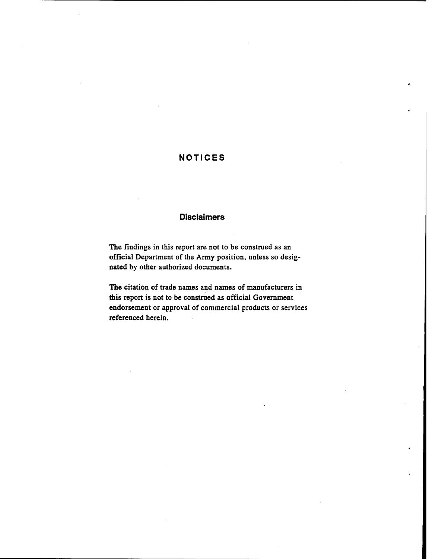# **NOTICES**

### **Disclaimers**

The findings in this report are not to be construed as an official Department of the Army position, unless so designated by other authorized documents.

**The** citation of trade names and names of manufacturers in this report is not to be construed as official Government endorsement or approval of commercial products or services referenced herein.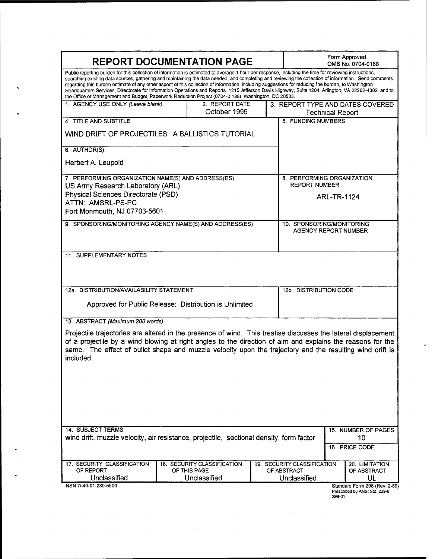| <b>REPORT DOCUMENTATION PAGE</b>                                                                                                                                                                                                                                                                                                                                                                                                                                                                                                                                                                                                                                                                                                       |                                |  |  | Form Approved<br>OMB No. 0704-0188                 |        |                                                                |
|----------------------------------------------------------------------------------------------------------------------------------------------------------------------------------------------------------------------------------------------------------------------------------------------------------------------------------------------------------------------------------------------------------------------------------------------------------------------------------------------------------------------------------------------------------------------------------------------------------------------------------------------------------------------------------------------------------------------------------------|--------------------------------|--|--|----------------------------------------------------|--------|----------------------------------------------------------------|
| Public reporting burden for this collection of information is estimated to average 1 hour per response, including the time for reviewing instructions,<br>searching existing data sources, gathering and maintaining the data needed, and completing and reviewing the collection of information. Send comments<br>regarding this burden estimate of any other aspect of this collection of information, including suggestions for reducing the burden, to Washington<br>Headquarters Services, Directorate for Information Operations and Reports. 1215 Jefferson Davis Highway, Suite 1204, Arlington, VA 22202-4302, and to<br>the Office of Management and Budget, Paperwork Reduction Project (0704-0 188), Washington, DC 20503. |                                |  |  |                                                    |        |                                                                |
| 1. AGENCY USE ONLY (Leave blank)                                                                                                                                                                                                                                                                                                                                                                                                                                                                                                                                                                                                                                                                                                       | 2. REPORT DATE<br>October 1996 |  |  | <b>Technical Report</b>                            |        | 3. REPORT TYPE AND DATES COVERED                               |
| 4 TITLE AND SUBTITLE                                                                                                                                                                                                                                                                                                                                                                                                                                                                                                                                                                                                                                                                                                                   |                                |  |  | <b>5. FUNDING NUMBERS</b>                          |        |                                                                |
| WIND DRIFT OF PROJECTILES: A BALLISTICS TUTORIAL                                                                                                                                                                                                                                                                                                                                                                                                                                                                                                                                                                                                                                                                                       |                                |  |  |                                                    |        |                                                                |
| 6. AUTHOR(S)                                                                                                                                                                                                                                                                                                                                                                                                                                                                                                                                                                                                                                                                                                                           |                                |  |  |                                                    |        |                                                                |
| Herbert A. Leupold                                                                                                                                                                                                                                                                                                                                                                                                                                                                                                                                                                                                                                                                                                                     |                                |  |  |                                                    |        |                                                                |
| 7. PERFORMING ORGANIZATION NAME(S) AND ADDRESS(ES)<br>US Army Research Laboratory (ARL)                                                                                                                                                                                                                                                                                                                                                                                                                                                                                                                                                                                                                                                |                                |  |  | 8. PERFORMING ORGANIZATION<br><b>REPORT NUMBER</b> |        |                                                                |
| Physical Sciences Directorate (PSD)                                                                                                                                                                                                                                                                                                                                                                                                                                                                                                                                                                                                                                                                                                    |                                |  |  | ARL-TR-1124                                        |        |                                                                |
| ATTN: AMSRL-PS-PC<br>Fort Monmouth, NJ 07703-5601                                                                                                                                                                                                                                                                                                                                                                                                                                                                                                                                                                                                                                                                                      |                                |  |  |                                                    |        |                                                                |
| 9. SPONSORING/MONITORING AGENCY NAME(S) AND ADDRESS(ES)                                                                                                                                                                                                                                                                                                                                                                                                                                                                                                                                                                                                                                                                                |                                |  |  | 10. SPONSORING/MONITORING                          |        |                                                                |
|                                                                                                                                                                                                                                                                                                                                                                                                                                                                                                                                                                                                                                                                                                                                        |                                |  |  | AGENCY REPORT NUMBER                               |        |                                                                |
|                                                                                                                                                                                                                                                                                                                                                                                                                                                                                                                                                                                                                                                                                                                                        |                                |  |  |                                                    |        |                                                                |
| <b>11. SUPPLEMENTARY NOTES</b>                                                                                                                                                                                                                                                                                                                                                                                                                                                                                                                                                                                                                                                                                                         |                                |  |  |                                                    |        |                                                                |
|                                                                                                                                                                                                                                                                                                                                                                                                                                                                                                                                                                                                                                                                                                                                        |                                |  |  |                                                    |        |                                                                |
| 12a. DISTRIBUTION/AVAILABILITY STATEMENT                                                                                                                                                                                                                                                                                                                                                                                                                                                                                                                                                                                                                                                                                               |                                |  |  | 12b. DISTRIBUTION CODE                             |        |                                                                |
| Approved for Public Release: Distribution is Unlimited                                                                                                                                                                                                                                                                                                                                                                                                                                                                                                                                                                                                                                                                                 |                                |  |  |                                                    |        |                                                                |
| 13. ABSTRACT (Maximum 200 words)                                                                                                                                                                                                                                                                                                                                                                                                                                                                                                                                                                                                                                                                                                       |                                |  |  |                                                    |        |                                                                |
| Projectile trajectories are altered in the presence of wind. This treatise discusses the lateral displacement<br>of a projectile by a wind blowing at right angles to the direction of aim and explains the reasons for the<br>same. The effect of bullet shape and muzzle velocity upon the trajectory and the resulting wind drift is<br>included.                                                                                                                                                                                                                                                                                                                                                                                   |                                |  |  |                                                    |        |                                                                |
| <b>14. SUBJECT TERMS</b>                                                                                                                                                                                                                                                                                                                                                                                                                                                                                                                                                                                                                                                                                                               |                                |  |  |                                                    |        | 15. NUMBER OF PAGES                                            |
| wind drift, muzzle velocity, air resistance, projectile, sectional density, form factor                                                                                                                                                                                                                                                                                                                                                                                                                                                                                                                                                                                                                                                |                                |  |  | 10                                                 |        |                                                                |
|                                                                                                                                                                                                                                                                                                                                                                                                                                                                                                                                                                                                                                                                                                                                        |                                |  |  |                                                    |        | 16. PRICE CODE                                                 |
| 17. SECURITY CLASSIFICATION                                                                                                                                                                                                                                                                                                                                                                                                                                                                                                                                                                                                                                                                                                            | 18. SECURITY CLASSIFICATION    |  |  | 19. SECURITY CLASSIFICATION                        |        | 20. LIMITATION                                                 |
| OF REPORT<br>Unclassified                                                                                                                                                                                                                                                                                                                                                                                                                                                                                                                                                                                                                                                                                                              | OF THIS PAGE<br>Unclassified   |  |  | OF ABSTRACT<br>Unclassified                        |        | OF ABSTRACT<br>UL                                              |
| NSN 7540-01-280-5500                                                                                                                                                                                                                                                                                                                                                                                                                                                                                                                                                                                                                                                                                                                   |                                |  |  |                                                    | 298-01 | Standard Form 298 (Rev. 2-89)<br>Prescribed by ANSI Std. 239-8 |

 $\hat{u}$ 

 $\boldsymbol{\varphi}$ 

 $\hat{\phantom{a}}$ 

 $\ddot{\bullet}$ 

 $\bullet$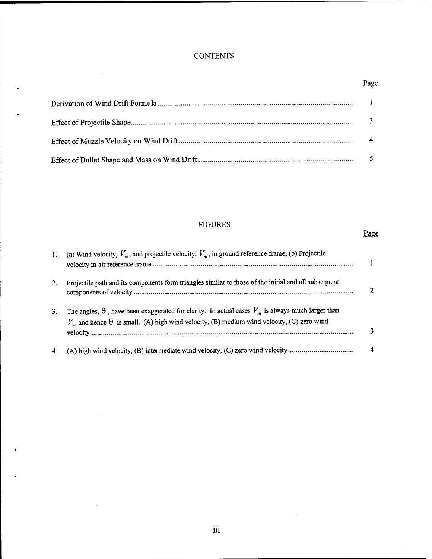# **CONTENTS**

 $\bar{z}$ 

 $\sim$ 

 $\sim$ 

 $\ddot{\phantom{0}}$ 

 $\cdot$ 

 $\ddot{\phantom{0}}$ 

# Page

# FIGURES

## Page

 $\bar{z}$ 

| $\mathbf{1}$ . | (a) Wind velocity, $V_w$ , and projectile velocity, $V_w$ , in ground reference frame, (b) Projectile                                                                                                              |   |
|----------------|--------------------------------------------------------------------------------------------------------------------------------------------------------------------------------------------------------------------|---|
| 2.             | Projectile path and its components form triangles similar to those of the initial and all subsequent                                                                                                               |   |
| 3.             | The angles, $\theta$ , have been exaggerated for clarity. In actual cases $V_m$ is always much larger than<br>$V_{w}$ and hence $\theta$ is small. (A) high wind velocity, (B) medium wind velocity, (C) zero wind |   |
|                |                                                                                                                                                                                                                    | 4 |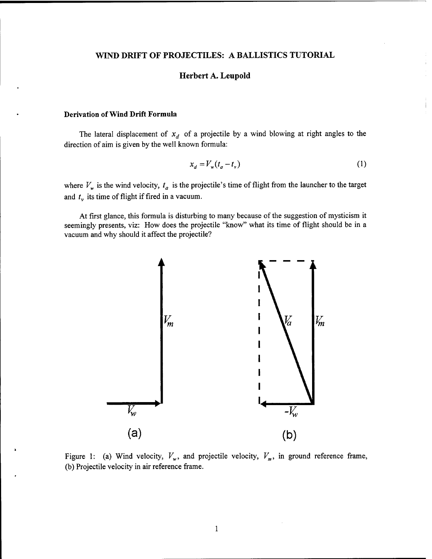#### **WIND DRIFT OF PROJECTILES: A BALLISTICS TUTORIAL**

#### **Herbert A. Leupold**

#### **Derivation ofWind Drift Formula**

The lateral displacement of  $x_d$  of a projectile by a wind blowing at right angles to the direction of aim is given by the well known formula:

$$
x_d = V_w(t_a - t_v)
$$
 (1)

where  $V_w$  is the wind velocity,  $t_a$  is the projectile's time of flight from the launcher to the target and  $t_v$  its time of flight if fired in a vacuum.

At first glance, this formula is disturbing to many because of the suggestion of mysticism it seemingly presents, viz: How does the projectile "know" what its time of flight should be in a vacuum and why should it affect the projectile?



Figure 1: (a) Wind velocity,  $V_w$ , and projectile velocity,  $V_m$ , in ground reference frame, (b) Projectile velocity in air reference frame.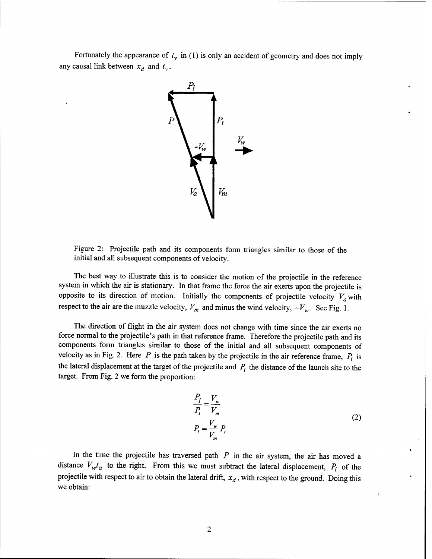Fortunately the appearance of  $t<sub>v</sub>$  in (1) is only an accident of geometry and does not imply any causal link between  $x_d$  and  $t_v$ .



Figure 2: Projectile path and its components form triangles similar to those of the initial and all subsequent components of velocity.

The best way to illustrate this is to consider the motion of the projectile in the reference system in which the air is stationary. In that frame the force the air exerts upon the projectile is opposite to its direction of motion. Initially the components of projectile velocity  $V_a$  with respect to the air are the muzzle velocity,  $V_m$  and minus the wind velocity,  $-V_w$ . See Fig. 1.

The direction of flight in the air system does not change with time since the air exerts no force normal to the projectile's path in that reference frame. Therefore the projectile path and its components form triangles similar to those of the initial and all subsequent components of velocity as in Fig. 2. Here  $P$  is the path taken by the projectile in the air reference frame,  $P_l$  is the lateral displacement at the target of the projectile and  $P_t$  the distance of the launch site to the target. From Fig. 2 we form the proportion:

$$
\frac{P_l}{P_t} = \frac{V_w}{V_m}
$$
\n
$$
P_l = \frac{V_w}{V_m} P_t
$$
\n(2)

In the time the projectile has traversed path  $P$  in the air system, the air has moved a distance  $V_w t_a$  to the right. From this we must subtract the lateral displacement,  $P_l$  of the projectile with respect to air to obtain the lateral drift, *xd*, with respect to the ground. Doing this we obtain: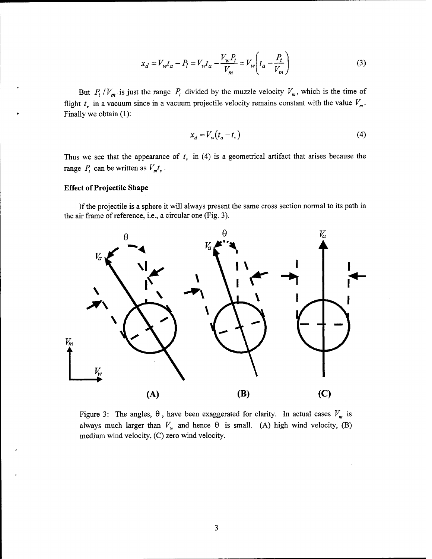$$
x_d = V_w t_a - P_l = V_w t_a - \frac{V_w P_t}{V_m} = V_w \left( t_a - \frac{P_t}{V_m} \right)
$$
 (3)

But  $P_t$  / $V_m$  is just the range  $P_t$  divided by the muzzle velocity  $V_m$ , which is the time of flight  $t<sub>v</sub>$  in a vacuum since in a vacuum projectile velocity remains constant with the value  $V<sub>m</sub>$ . Finally we obtain (1):

$$
x_d = V_w(t_a - t_v)
$$
\n<sup>(4)</sup>

Thus we see that the appearance of  $t<sub>v</sub>$  in (4) is a geometrical artifact that arises because the range  $P_t$  can be written as  $V_m t_v$ .

#### **Effect** of Projectile Shape

If the projectile is a sphere it will always present the same cross section normal to its path in the air frame of reference, i.e., a circular one (Fig. 3).



Figure 3: The angles,  $\theta$ , have been exaggerated for clarity. In actual cases  $V_m$  is always much larger than  $V_w$  and hence  $\theta$  is small. (A) high wind velocity, (B) medium wind velocity, (C) zero wind velocity.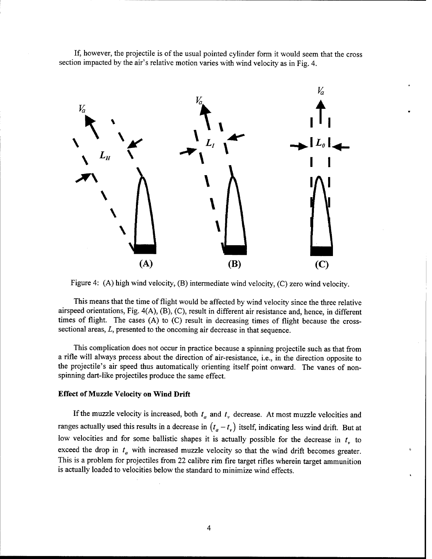If, however, the projectile is of the usual pointed cylinder form it would seem that the cross section impacted by the air's relative motion varies with wind velocity as in Fig. 4.



Figure 4: (A) high wind velocity, (B) intermediate wind velocity, (C) zero wind velocity.

This means that the time of flight would be affected by wind velocity since the three relative airspeed orientations, Fig. 4(A), (B), (C), result in different air resistance and, hence, in different times of flight. The cases (A) to (C) result in decreasing times of flight because the crosssectional areas, *L,* presented to the oncoming air decrease in that sequence.

This complication does not occur in practice because a spinning projectile such as that from a rifle will always precess about the direction of air-resistance, i.e., in the direction opposite to the projectile's air speed thus automatically orienting itself point onward. The vanes of nonspinning dart-like projectiles produce the same effect.

#### **Effect ofMuzzle Velocity on Wind Drift**

If the muzzle velocity is increased, both  $t_a$  and  $t<sub>r</sub>$  decrease. At most muzzle velocities and ranges actually used this results in a decrease in  $(t_a - t_v)$  itself, indicating less wind drift. But at low velocities and for some ballistic shapes it is actually possible for the decrease in  $t<sub>r</sub>$  to exceed the drop in  $t_a$  with increased muzzle velocity so that the wind drift becomes greater. This is a problem for projectiles from 22 calibre rim fire target rifles wherein target ammunition is actually loaded to velocities below the standard to minimize wind effects.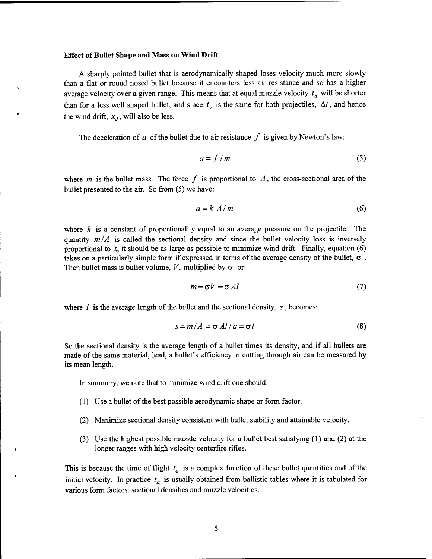#### **Effect ofBullet Shape and** Mass **on Wind Drift**

A sharply pointed bullet that is aerodynamically shaped loses velocity much more slowly than a flat or round nosed bullet because it encounters less air resistance and so has a higher average velocity over a given range. This means that at equal muzzle velocity *t<sup>a</sup>* will be shorter than for a less well shaped bullet, and since  $t<sub>v</sub>$  is the same for both projectiles,  $\Delta t$ , and hence the wind drift,  $x_d$ , will also be less.

The deceleration of  $a$  of the bullet due to air resistance  $f$  is given by Newton's law:

$$
a = f/m \tag{5}
$$

where  $m$  is the bullet mass. The force  $f$  is proportional to  $A$ , the cross-sectional area of the bullet presented to the air. So from (5) we have:

$$
a = k A/m \tag{6}
$$

where *k* is a constant of proportionality equal to an average pressure on the projectile. The quantity  $m/A$  is called the sectional density and since the bullet velocity loss is inversely proportional to it, it should be as large as possible to minimize wind drift. Finally, equation (6) takes on a particularly simple form if expressed in terms of the average density of the bullet,  $\sigma$ . Then bullet mass is bullet volume,  $V$ , multiplied by  $\sigma$  or:

$$
m = \sigma V = \sigma \, Al \tag{7}
$$

where  $l$  is the average length of the bullet and the sectional density,  $s$ , becomes:

$$
s = m/A = \sigma A l / a = \sigma l \tag{8}
$$

So the sectional density is the average length of a bullet times its density, and if all bullets are made of the same material, lead, a bullet's efficiency in cutting through air can be measured by its mean length.

In summary, we note that to minimize wind drift one should:

- (1) Use a bullet of the best possible aerodynamic shape or form factor.
- (2) Maximize sectional density consistent with bullet stability and attainable velocity.
- (3) Use the highest possible muzzle velocity for a bullet best satisfying (1) and (2) at the longer ranges with high velocity centerfire rifles.

This is because the time of flight *t<sup>a</sup>* is a complex function of these bullet quantities and of the initial velocity. In practice *ta* is usually obtained from ballistic tables where it is tabulated for various form factors, sectional densities and muzzle velocities.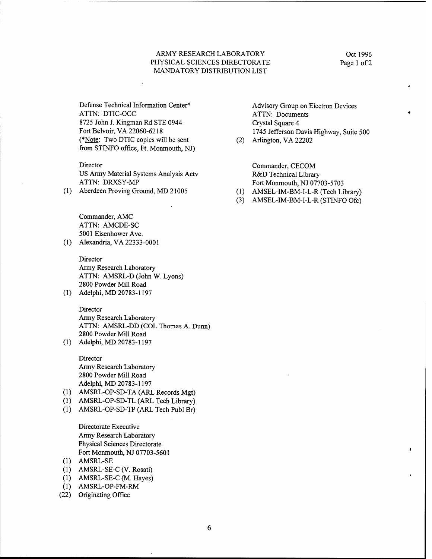#### ARMY RESEARCH LABORATORY PHYSICAL SCIENCES DIRECTORATE MANDATORY DISTRIBUTION LIST

Defense Technical Information Center\* ATTN: DTIC-OCC 8725 John J. Kingman Rd STE 0944 Fort Belvoir, VA 22060-6218 (\*Note: Two DTIC copies will be sent from STINFO office, Ft. Monmouth, NJ)

#### Director

US Army Material Systems Analysis Actv ATTN: DRXSY-MP

(1) Aberdeen Proving Ground, MD 21005

Commander, AMC ATTN: AMCDE-SC 5001 Eisenhower Ave.

(1) Alexandria, VA 22333-0001

Director Army Research Laboratory ATTN: AMSRL-D (John W. Lyons) 2800 Powder Mill Road

(1) Adelphi, MD 20783-1197

Director Army Research Laboratory ATTN: AMSRL-DD (COL Thomas A. Dunn) 2800 Powder Mill Road

(1) Adelphi, MD 20783-1197

Director Army Research Laboratory 2800 Powder Mill Road Adelphi, MD 20783-1197

- (1) AMSRL-OP-SD-TA (ARL Records Mgt)
- (1) AMSRL-OP-SD-TL (ARL Tech Library)
- (1) AMSRL-OP-SD-TP (ARL Tech Publ Br)

Directorate Executive Army Research Laboratory Physical Sciences Directorate Fort Monmouth, NJ 07703-5601

- (1) AMSRL-SE
- (1) AMSRL-SE-C (V. Rosati)
- (1) AMSRL-SE-C (M. Hayes)
- (1) AMSRL-OP-FM-RM
- (22) Originating Office

Advisory Group on Electron Devices ATTN: Documents Crystal Square 4 1745 Jefferson Davis Highway, Suite 500

(2) Arlington, VA 22202

Commander, CECOM R&D Technical Library Fort Monmouth, NJ 07703-5703

- (1) AMSEL-IM-BM-I-L-R (Tech Library)
- (3) AMSEL-IM-BM-I-L-R (STINFO Ofc)